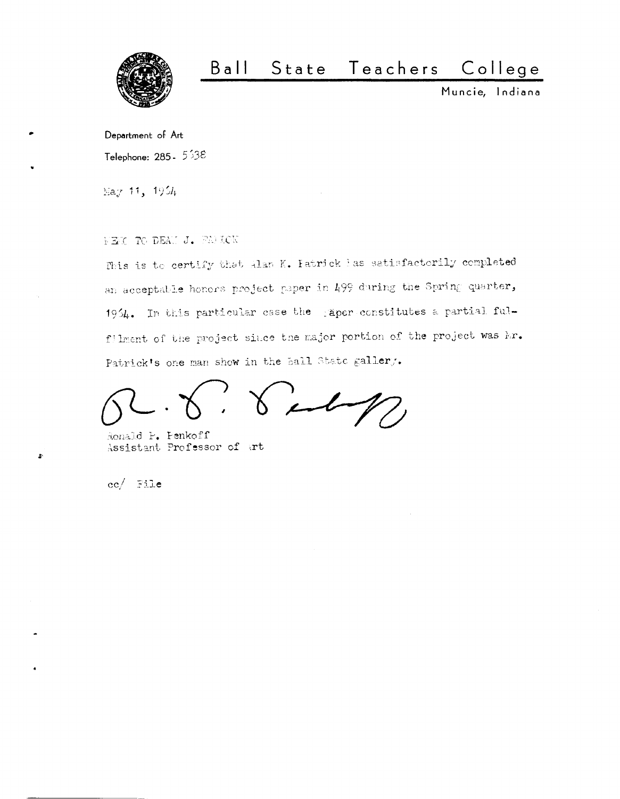

## $B$  a  $II$ State Teachers College

Muncie, Indiana

Department of Art Telephone: 285 -  $5.38$ 

May 11, 1954

NEXT TO DEAN J. FANKOW

This is to certify that Alan K. Fatrick has satisfactorily completed an acceptable honors project paper in 499 during the Spring quarter, 1954. In this particular case the gaper constitutes a partial fulfilment of the project since the major portion of the project was Ar. Patrick's one man show in the ball State gallery.

 $247$ 

Ronald P. Penkoff Assistant Professor of art

 $cc/$  File

 $\ddot{\bullet}$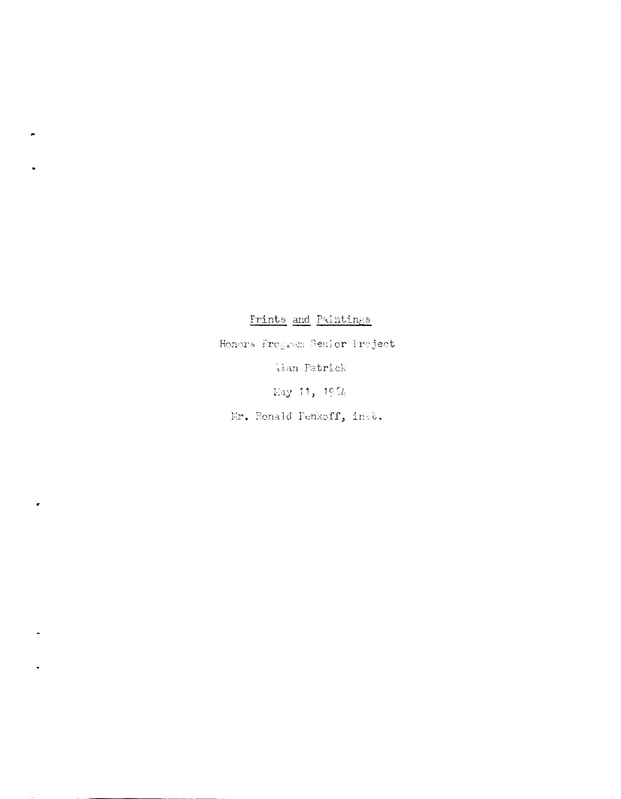## <u>Prints</u> and Paintings

Honors Program Senior Project

ilan Patrick

Eay 11,  $195l_1$ 

Mr. Ronald Penkoff, inst.

,

 $\bullet$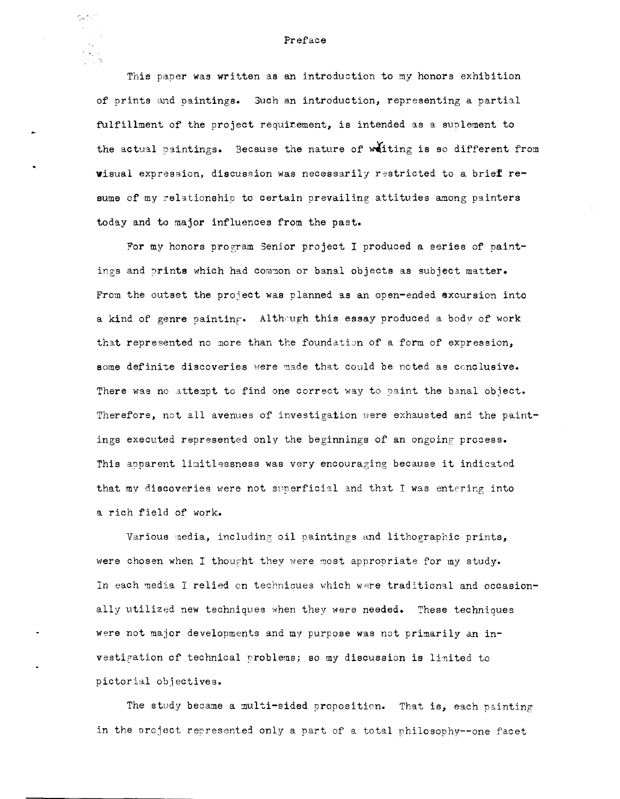This paper was written as an introduction to my honors exhibition of prints and paintings. Such an introduction, representing a partial fulfillment of the project requirement, is intended as a suplement to the actual paintings. Because the nature of witing is so different from wisual expression, discussion was necessarily restricted to a brief resume of my relationship to certain prevailing attitudes among painters today and to major influences from the past.

For my honors program Senior project I produced a series of paintings and prints which had common or banal objects as subject matter. From the outset the project was planned as an open-ended excursion into a kind of genre painting. Although this essay produced a body of work that represented no more than the foundation of a form of expression, some definite discoveries were made that could be noted as conclusive. There was no attempt to find one correct way to paint the banal object. Therefore, not all avenues of investigation were exhausted and the paintings executed represented only the beginnings of an ongoing process. This apparent limitlessness was very encouraging because it indicated that my discoveries were not superficial and that I was entering into a rich field of work.

Various media, including oil paintings and lithographic prints, were chosen when I thought they were most appropriate for my study. In each media I relied on techniques which were traditional and occasionally utilized new techniques when they were needed. These techniques were not major developments and my purpose was not primarily an investigation of technical problems; so my discussion is limited to pictorial objectives.

The study became a multi-sided proposition. That is, each painting in the project represented only a part of a total philosophy--one facet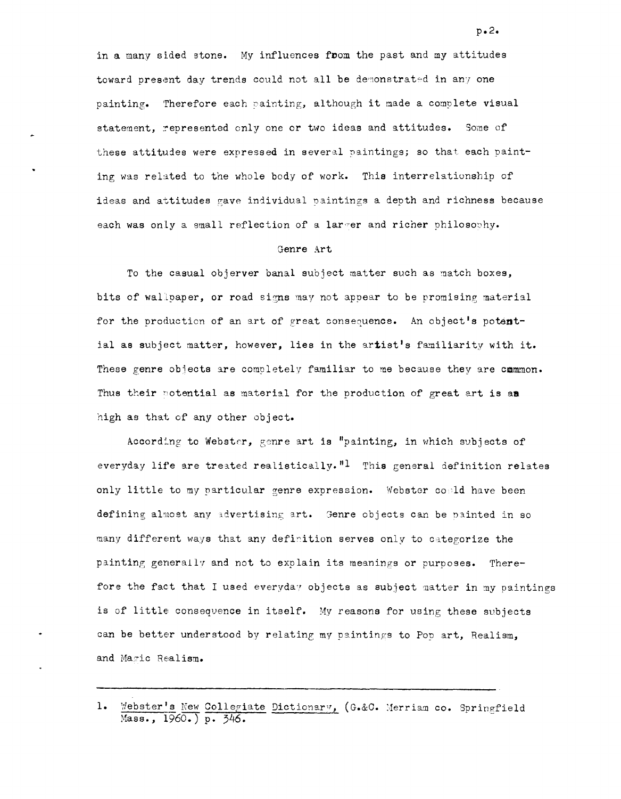in a many sided stone. My influences from the past and my attitudes toward present day trends could not all be demonstrated in any one painting. Therefore each painting, although it made a complete visual statement, represented only one or two ideas and attitudes. Some of these attitudes were expressed in several paintings; so that each painting was related to the whole body of work. This interrelationship of ideas and attitudes gave individual paintings a depth and richness because each was only a small reflection of a larger and richer philosophy.

## Genre Art.

To the casual objerver banal subject matter such as match boxes, bits of wallpaper, or road signs may not appear to be promising material for the production of an art of great consequence. An object's potential as subject matter, however, lies in the artist's familiarity with it. These genre objects are completely familiar to me because they are cmmmon. Thus their potential as material for the production of great art is an high as that of any other object.

According to Webster, genre art is "painting, in which subjects of everyday life are treated realistically."1 This general definition relates only little to my particular genre expression. Webster could have been defining almost any advertising art. Genre objects can be painted in so many different ways that any definition serves only to categorize the painting generally and not to explain its meanings or purposes. Therefore the fact that I used everyday objects as subject matter in my paintings is of little consequence in itself. My reasons for using these subjects can be better understood by relating my paintings to Pop art, Realism, and Magic Realism.

 $p \cdot 2 \cdot$ 

<sup>1.</sup> Webster's New Collegiate Dictionary, (G.&C. Merriam co. Springfield Mass., 1960.) p. 346.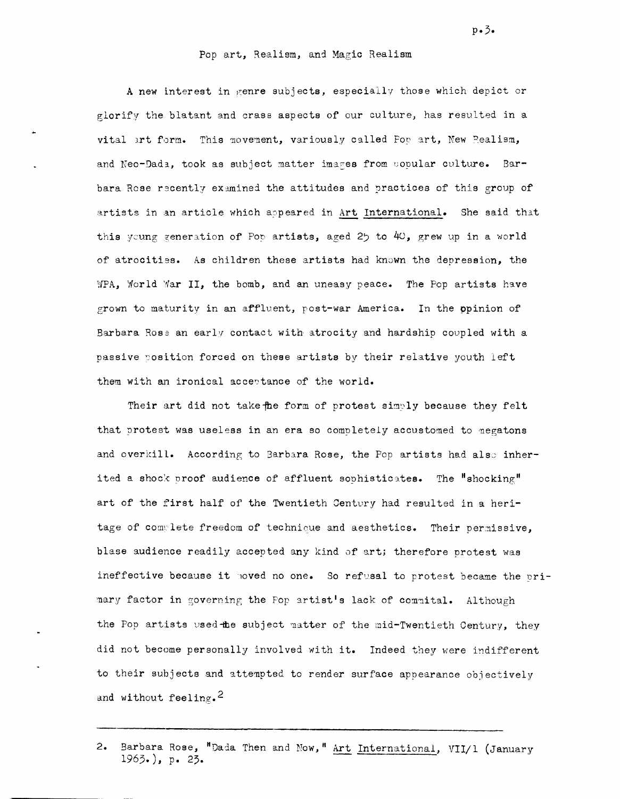## Pop art, Realism, and Magic Realism

A new interest in genre subjects, especially those which depict or glorify the blatant and crass aspects of our culture, has resulted in a vital art form. This movement, variously called For art, New Pealism, and Neo-Dada, took as subject matter images from copular culture. Barbara Rose recently examined the attitudes and practices of this group of artists in an article which appeared in Art International. She said that this young generation of Pop artists, aged 25 to 40, grew up in a world of atrocities. As children these artists had known the depression, the WPA, World War II, the bomb, and an uneasy peace. The Pop artists have grown to maturity in an affluent, post-war America. In the opinion of Barbara Rose an early contact with atrocity and hardship coupled with a passive position forced on these artists by their relative youth left them with an ironical acceptance of the world.

Their art did not take the form of protest simply because they felt that protest was useless in an era so completely accustomed to megatons and overkill. According to Barbara Rose, the Pop artists had also inherited a shock proof audience of affluent sophisticates. The "shocking" art of the first half of the Twentieth Century had resulted in a heritage of commilete freedom of technique and aesthetics. Their permissive. blase audience readily accepted any kind of art; therefore protest was ineffective because it moved no one. So refusal to protest became the primary factor in governing the Pop artist's lack of commital. Although the Pop artists used the subject matter of the mid-Twentieth Century, they did not become personally involved with it. Indeed they were indifferent to their subjects and attempted to render surface appearance objectively and without feeling.<sup>2</sup>

 $p \cdot 3$ .

<sup>2.</sup> Barbara Rose, "Dada Then and Now," Art International, VII/1 (January  $1963.)$ , p. 23.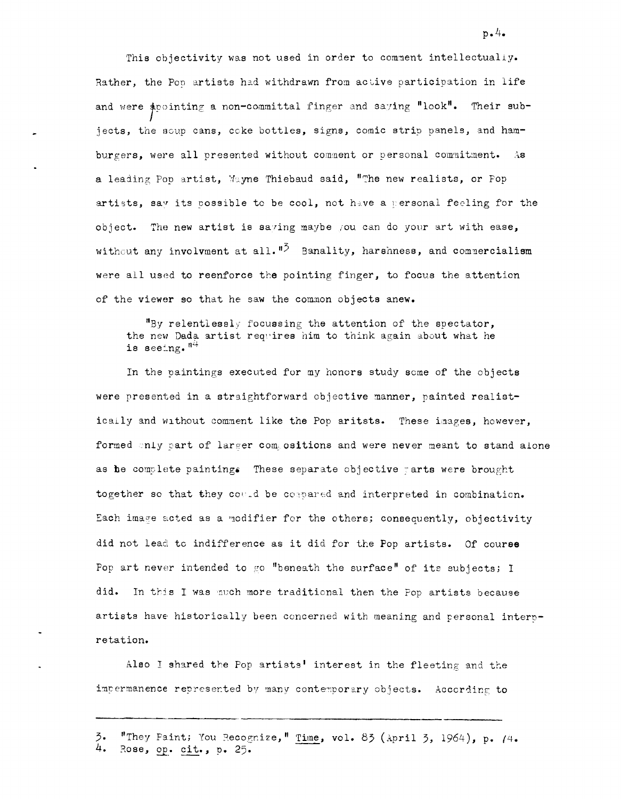This objectivity was not used in order to comment intellectually. Rather, the Pop artists had withdrawn from active participation in life and were apointing a non-committal finger and saying "look". Their subjects, the soup cans, coke bottles, signs, comic strip panels, and hamburgers, were all presented without comment or personal commitment. As a leading Pop artist, Wayne Thiebaud said, "The new realists, or Pop artists, say its possible to be cool, not have a personal feeling for the object. The new artist is saving maybe you can do your art with ease, without any involvment at all.  $\mathbf{^{15}}$  Banality, harshness, and commercialism were all used to reenforce the pointing finger, to focus the attention of the viewer so that he saw the common objects anew.

"By relentlessly focussing the attention of the spectator, the new Dada artist requires him to think again about what he is seeing.  $n^4$ 

In the paintings executed for my honors study some of the objects were presented in a straightforward objective manner, painted realistically and without comment like the Pop aritsts. These images, however, formed only part of larger compositions and were never meant to stand alone as be complete painting. These separate objective tarts were brought together so that they could be compared and interpreted in combination. Each image acted as a modifier for the others; consequently, objectivity did not lead to indifference as it did for the Pop artists. Of course Fop art never intended to go "beneath the surface" of its subjects; I did. In this I was nuch more traditional then the Pop artists because artists have historically been concerned with meaning and personal interpretation.

Also I shared the Pop artists' interest in the fleeting and the impermanence represented by many contemporary objects. According to

 $p \cdot 4$ .

<sup>3.</sup> "They Faint; You Recognize," Time, vol. 83 (April 3, 1964), p. (4. 4. Rose, op. cit., p. 25.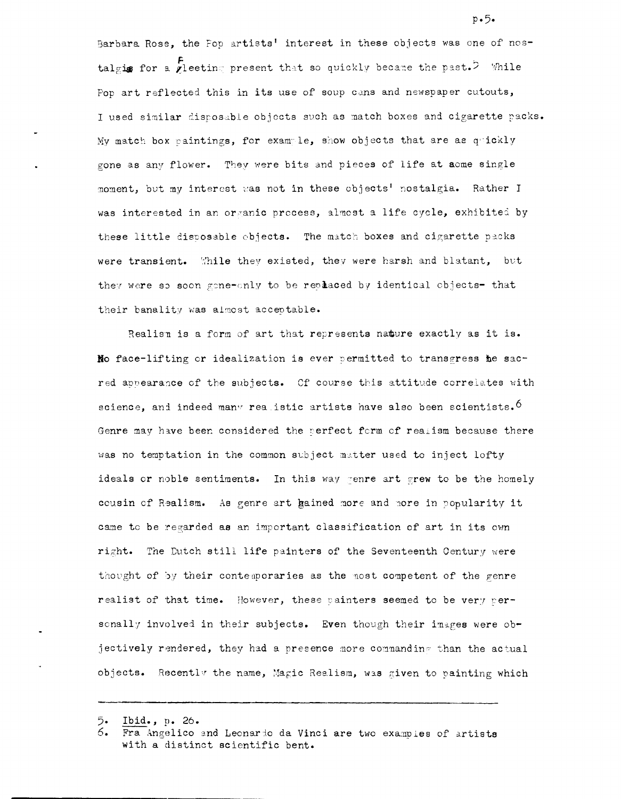Barbara Rose, the Fop artists' interest in these objects was one of nostalgis for a viecting present that so quickly became the past.<sup>5</sup> While Pop art reflected this in its use of soup cans and newspaper cutouts, I used similar disposable objects such as match boxes and cigarette packs. My match box paintings, for example, show objects that are as quickly gone as any flower. They were bits and pieces of life at aome single moment, but my interest was not in these objects' nostalgia. Rather I was interested in an organic process, almost a life cycle, exhibited by these little disposable objects. The match boxes and cigarette packs were transient. While they existed, they were harsh and blatant, but they were so soon gone-only to be replaced by identical objects- that their banality was almost acceptable.

Realism is a form of art that represents nature exactly as it is. No face-lifting or idealization is ever permitted to transgress he sacred appearance of the subjects. Of course this attitude correlates with science, and indeed many realistic artists have also been scientists.<sup>6</sup> Genre may have been considered the perfect form of realism because there was no temptation in the common subject matter used to inject lofty ideals or noble sentiments. In this way genre art grew to be the homely cousin of Realism. As genre art hained more and nore in popularity it came to be regarded as an important classification of art in its own right. The Dutch still life painters of the Seventeenth Century were thought of by their contemporaries as the most competent of the genre realist of that time. However, these painters seemed to be very personally involved in their subjects. Even though their images were objectively rendered, they had a presence more commanding than the actual objects. Recently the name, Magic Realism, was given to painting which

 $p - 5 -$ 

<sup>5.</sup> Ibid., p. 26.

Fra Angelico end Leonardo da Vinci are two examples of artists with a distinct scientific bent.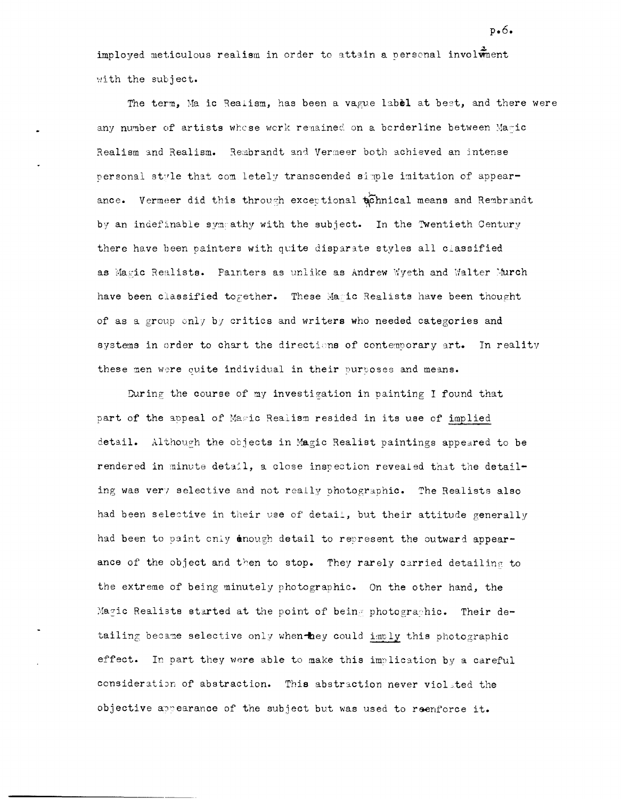imployed meticulous realism in order to attain a personal involument with the subject.

The term, Ma ic Realism, has been a vague label at best, and there were any number of artists whose work remained on a borderline between Maric Realism and Realism. Rembrandt and Vermeer both achieved an intense personal style that completely transcended simple imitation of appearance. Vermeer did this through exceptional tonnical means and Rembrandt by an indefinable sympathy with the subject. In the Twentieth Century there have been painters with quite disparate styles all classified as Magic Realists. Painters as unlike as Andrew Wyeth and Walter Murch have been classified together. These Maric Realists have been thought of as a group only by critics and writers who needed categories and systems in order to chart the directions of contemporary art. In reality these men were quite individual in their purposes and means.

During the course of my investigation in painting I found that part of the appeal of Mawic Realism resided in its use of implied detail. Although the objects in Magic Realist paintings appeared to be rendered in minute detail, a close inspection revealed that the detailing was very selective and not really photographic. The Realists also had been selective in their use of detail, but their attitude generally had been to paint only anough detail to represent the outward appearance of the object and then to stop. They rarely carried detailing to the extreme of being minutely photographic. On the other hand, the Magic Realists started at the point of being photographic. Their detailing became selective only when hey could imply this photographic effect. In part they were able to make this implication by a careful consideration of abstraction. This abstraction never violated the objective appearance of the subject but was used to reenforce it.

 $p_{\bullet}6_{\bullet}$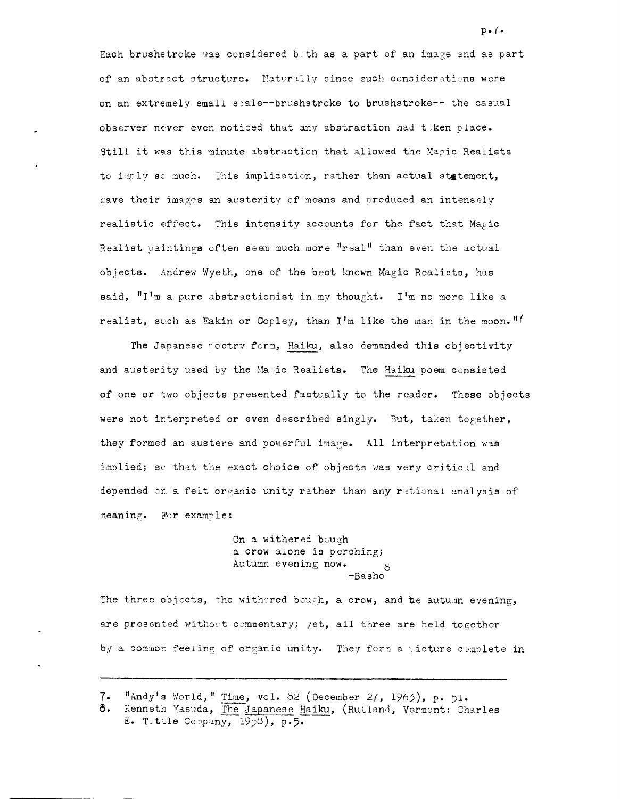Each brushetroke was considered both as a part of an image and as part of an abstract structure. Naturally since such considerations were on an extremely small scale--brushstroke to brushstroke-- the casual observer never even noticed that any abstraction had taken place. Still it was this minute abstraction that allowed the Magic Realists to imply ac much. This implication, rather than actual statement, gave their images an austerity of means and produced an intensely realistic effect. This intensity accounts for the fact that Magic Realist paintings often seem much more "real" than even the actual objects. Andrew Wyeth, one of the best known Magic Realists, has said, "I'm a pure abstractionist in my thought. I'm no more like a realist, such as Eakin or Copley, than I'm like the man in the moon."

The Japanese roetry form, Haiku, also demanded this objectivity and austerity used by the Maric Realists. The Haiku poem consisted of one or two objects presented factually to the reader. These objects were not interpreted or even described singly. But, taken together, they formed an austere and powerful image. All interpretation was implied; so that the exact choice of objects was very critical and depended on a felt organic unity rather than any rational analysis of meaning. For example:

> On a withered bough a crow alone is perching; Autumn evening now. -Basho

The three objects, the withered bough, a crow, and he autumn evening, are presented without commentary; yet, all three are held together by a common feeling of organic unity. They form a ricture complete in

<sup>&</sup>quot;Andy's World," Time, vol. 82 (December 2/, 1965), p. 51.  $7.$ 

Kenneth Yasuda, The Japanese Haiku, (Rutland, Vermont: Charles 8. E. Tuttle Company, 1958), p.5.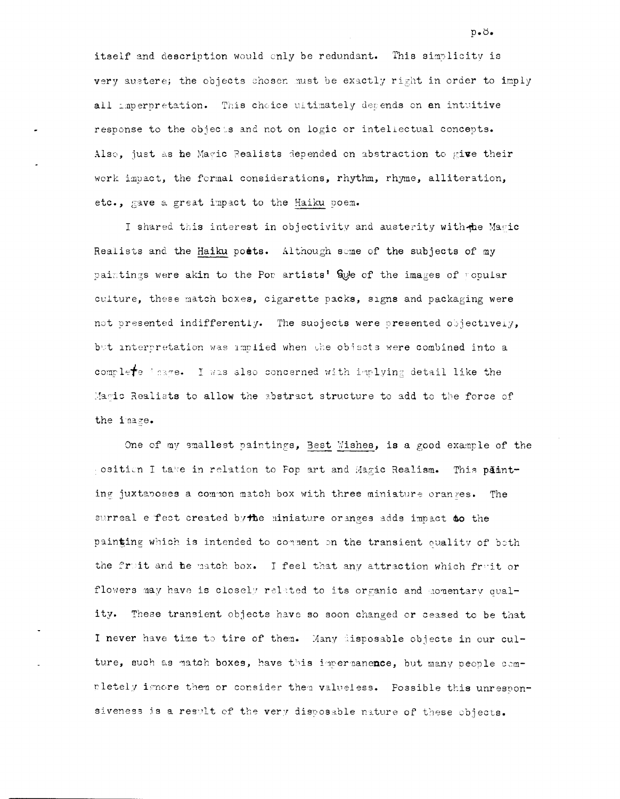itself and description would only be redundant. This simplicity is very austere; the objects chosen must be exactly right in order to imply all imperpretation. This choice ultimately depends on an intuitive response to the objects and not on logic or intellectual concepts. Also, just as he Magic Realists depended on abstraction to give their work impact, the formal considerations, rhythm, rhyme, alliteration, etc., gave a great impact to the Haiku poem.

I shared this interest in objectivity and austerity with the Magic Realists and the Haiku poets. Although seme of the subjects of my paintings were akin to the Por artists' Swe of the images of ropular culture, these match boxes, cigarette packs, signs and packaging were not presented indifferently. The subjects were presented objectively, but interpretation was implied when the objects were combined into a complete inage. I was also concerned with implying detail like the Magic Realists to allow the abstract structure to add to the force of the image.

One of my smallest paintings, Best Wishes, is a good example of the cosition I take in relation to Fop art and Magic Realism. This patinting juxtaboses a common match box with three miniature oranges. The surreal effect created by the miniature oranges adds impact to the painting which is intended to comment on the transient quality of both the fruit and be match box. I feel that any attraction which fruit or flowers may have is closely related to its organic and momentary quality. These transient objects have so soon changed or ceased to be that I never have time to tire of them. Many disposable objects in our culture, such as match boxes, have this impermanence, but many people comrletely ignore them or consider them valueless. Possible this unresponsiveness is a result of the very disposable nature of these objects.

 $p \cdot \emptyset \cdot$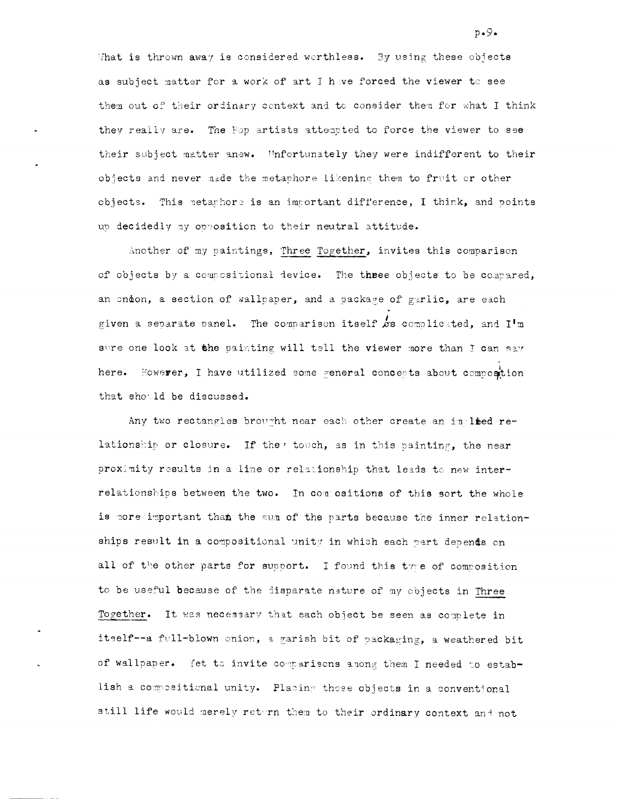What is thrown away is considered worthless. By using these objects as subject matter for a work of art I have forced the viewer to see them out of their ordinary context and to consider them for what I think they really are. The Fop artists attented to force the viewer to see their subject matter anew. Unfortunately they were indifferent to their objects and never made the metaphore likening them to fruit or other objects. This metaphore is an important difference, I think, and points up decidedly my opposition to their neutral attitude.

Another of my paintings, Three Together, invites this comparison of objects by a compositional device. The three objects to be compared, an endon, a section of wallpaper, and a package of garlic, are each given a separate panel. The comparison itself  $\&$ s complicated, and I'm sure one look at the painting will tell the viewer more than I can say here. However, I have utilized some general concepts about composition that should be discussed.

Any two rectangles brought near each other create an implied relationship or closure. If the, touch, as in this painting, the near proximity results in a line or relationship that leads to new interrelationships between the two. In commositions of this sort the whole is more important than the sum of the parts because the inner relationships result in a compositional unity in which each part depends on all of the other parts for support. I found this type of composition to be useful because of the disparate nature of my objects in Three Together. It was necessary that each object be seen as complete in itself--a full-blown onion, a garish bit of packaging, a weathered bit of wallpaper. Yet to invite comparisons among them I needed to establish a compositional unity. Placing these objects in a conventional still life would merely return them to their ordinary context and not

 $p \cdot 9 \cdot$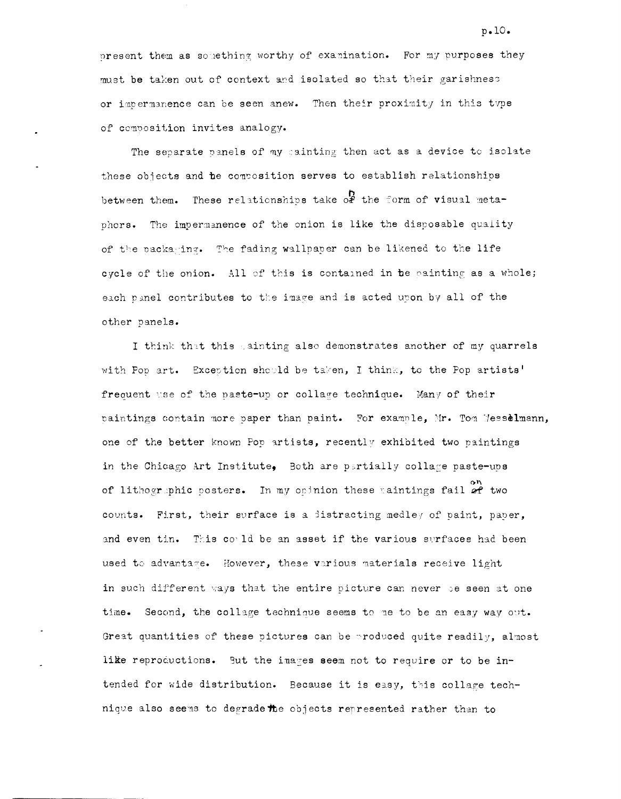present them as something worthy of examination. For my purposes they must be taken out of context and isolated so that their garishness or impermanence can be seen anew. Then their proximity in this type of composition invites analogy.

The separate panels of my sainting then act as a device to isolate these objects and be composition serves to establish relationships between them. These relationships take of the form of visual metaphors. The impermanence of the onion is like the disposable quality of the packaging. The fading wallpaper can be likened to the life cycle of the onion. All of this is contained in te painting as a whole; each panel contributes to the image and is acted upon by all of the other panels.

I think that this gainting also demonstrates another of my quarrels with Pop art. Exception should be taken, I think, to the Pop artists' frequent use of the paste-up or collage technique. Many of their paintings contain more paper than paint. For example, Mr. Tom Messelmann, one of the better known Pop artists, recently exhibited two paintings in the Chicago Art Institute, Both are partially collage paste-ups of lithographic posters. In my opinion these caintings fail of two counts. First, their surface is a listracting medley of paint, paper, and even tin. This could be an asset if the various surfaces had been used to advantage. However, these various materials receive light in such different ways that the entire picture can never be seen at one time. Second, the collage technique seems to me to be an easy way out. Great quantities of these pictures can be produced quite readily, almost like reproductions. But the images seem not to require or to be intended for wide distribution. Because it is easy, this collage technique also seems to degrade the objects represented rather than to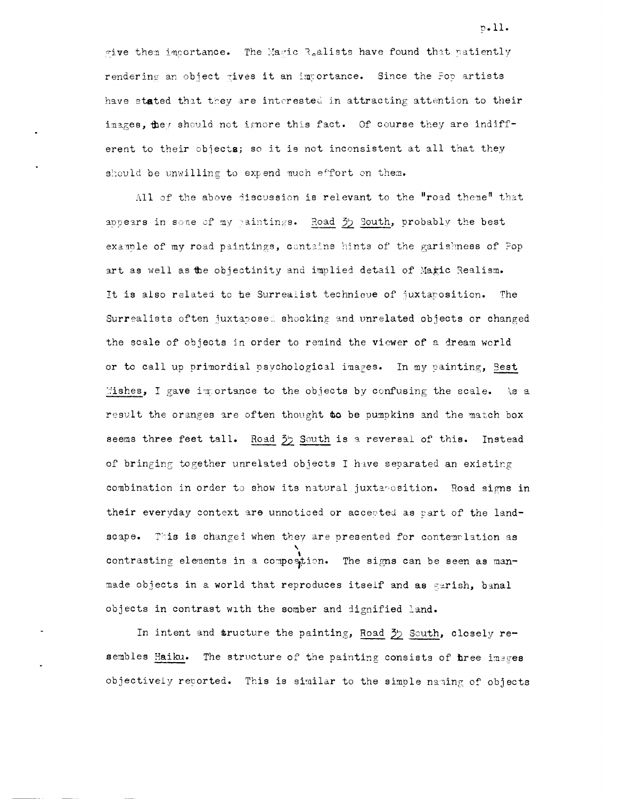give them importance. The Magic Raalists have found that natiently rendering an object gives it an importance. Since the Pop artists have stated that they are interested in attracting attention to their inages, they should not ignore this fact. Of course they are indifferent to their objects; so it is not inconsistent at all that they should be unwilling to expend much effort on them.

All of the above discussion is relevant to the "road theme" that appears in some of my paintings. Road 35 South, probably the best example of my road paintings, contains hints of the garishness of Pop art as well as the objectinity and implied detail of Magic Realism. It is also related to be Surrealist technique of juxtaposition. The Surrealists often juxtabosed shocking and unrelated objects or changed the scale of objects in order to remind the viewer of a dream world or to call up primordial psychological images. In my painting, Best Mishes, I gave immortance to the objects by confusing the scale. As a result the oranges are often thought to be pumpkins and the match box seems three feet tall. Road 35 South is a reversal of this. Instead of bringing together unrelated objects I have separated an existing combination in order to show its natural juxtanosition. Road signs in their everyday context are unnoticed or accepted as part of the landscape. This is changed when they are presented for contemplation as contrasting elements in a composition. The signs can be seen as manmade objects in a world that reproduces itself and as garish, banal objects in contrast with the somber and dignified land.

In intent and sructure the painting, Road 35 South, closely resembles Haiku. The structure of the painting consists of three images objectively reported. This is similar to the simple naming of objects

 $p.11.$